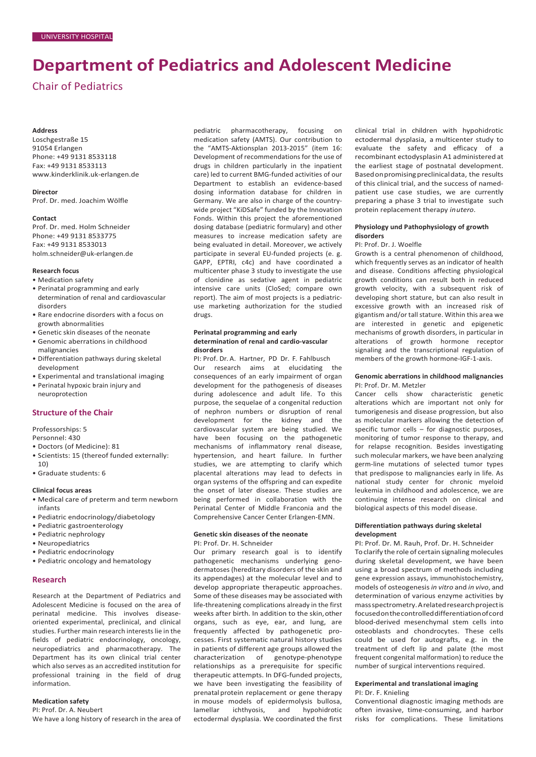# **Department of Pediatrics and Adolescent Medicine**

# Chair of Pediatrics

#### **Address**

Loschgestraße 15 91054 Erlangen Phone: +49 9131 8533118 Fax: +49 9131 8533113 [www.kinderklinik.uk-erlangen.de](http://www.kinderklinik.uk-erlangen.de/)

#### **Director**

Prof. Dr. med. Joachim Wölfle

#### **Contact**

Prof. Dr. med. Holm Schneider Phone: +49 9131 8533775 Fax: +49 9131 8533013 [holm.schneider@uk-erlangen.de](mailto:holm.schneider@uk-erlangen.de)

# **Research focus**

- Medication safety
- Perinatal programming and early determination of renal and cardiovascular disorders
- Rare endocrine disorders with a focus on growth abnormalities
- Genetic skin diseases of the neonate
- Genomic aberrations in childhood malignancies
- Differentiation pathways during skeletal development
- Experimental and translational imaging • Perinatal hypoxic brain injury and
- neuroprotection

# **Structure of the Chair**

Professorships: 5

- Personnel: 430 • Doctors (of Medicine): 81
- Scientists: 15 (thereof funded externally:
- 10)
- Graduate students: 6

# **Clinical focus areas**

- Medical care of preterm and term newborn infants
- Pediatric endocrinology/diabetology
- Pediatric gastroenterology
- Pediatric nephrology
- Neuropediatrics
- Pediatric endocrinology
- Pediatric oncology and hematology

# **Research**

Research at the Department of Pediatrics and Adolescent Medicine is focused on the area of perinatal medicine. This involves diseaseoriented experimental, preclinical, and clinical studies. Further main research interests lie in the fields of pediatric endocrinology, oncology, neuropediatrics and pharmacotherapy. The Department has its own clinical trial center which also serves as an accredited institution for professional training in the field of drug information.

# **Medication safety**

PI: Prof. Dr. A. Neubert We have a long history of research in the area of pediatric pharmacotherapy, focusing on medication safety (AMTS). Our contribution to the "AMTS-Aktionsplan 2013-2015" (item 16: Development of recommendations for the use of drugs in children particularly in the inpatient care) led to current BMG-funded activities of our Department to establish an evidence-based dosing information database for children in Germany. We are also in charge of the countrywide project "KiDSafe" funded by the Innovation Fonds. Within this project the aforementioned dosing database (pediatric formulary) and other measures to increase medication safety are being evaluated in detail. Moreover, we actively participate in several EU-funded projects (e. g. GAPP, EPTRI, c4c) and have coordinated a multicenter phase 3 study to investigate the use of clonidine as sedative agent in pediatric intensive care units (CloSed; compare own report). The aim of most projects is a pediatricuse marketing authorization for the studied drugs.

# **Perinatal programming and early determination of renal and cardio-vascular disorders**

PI: Prof. Dr. A. Hartner, PD Dr. F. Fahlbusch Our research aims at elucidating the consequences of an early impairment of organ development for the pathogenesis of diseases during adolescence and adult life. To this purpose, the sequelae of a congenital reduction of nephron numbers or disruption of renal development for the kidney and the cardiovascular system are being studied. We have been focusing on the pathogenetic mechanisms of inflammatory renal disease, hypertension, and heart failure. In further studies, we are attempting to clarify which placental alterations may lead to defects in organ systems of the offspring and can expedite the onset of later disease. These studies are being performed in collaboration with the Perinatal Center of Middle Franconia and the Comprehensive Cancer Center Erlangen-EMN.

# **Genetic skin diseases of the neonate** PI: Prof. Dr. H. Schneider

Our primary research goal is to identify pathogenetic mechanisms underlying genodermatoses (hereditary disorders of the skin and its appendages) at the molecular level and to develop appropriate therapeutic approaches. Some of these diseases may be associated with life-threatening complications already in the first weeks after birth. In addition to the skin, other organs, such as eye, ear, and lung, are frequently affected by pathogenetic processes. First systematic natural history studies in patients of different age groups allowed the characterization of genotype-phenotype relationships as a prerequisite for specific therapeutic attempts. In DFG-funded projects, we have been investigating the feasibility of prenatal protein replacement or gene therapy in mouse models of epidermolysis bullosa, lamellar ichthyosis, and hypohidrotic ectodermal dysplasia. We coordinated the first

clinical trial in children with hypohidrotic ectodermal dysplasia, a multicenter study to evaluate the safety and efficacy of a recombinant ectodysplasin A1 administered at the earliest stage of postnatal development. Basedonpromisingpreclinicaldata, the results of this clinical trial, and the success of namedpatient use case studies, we are currently preparing a phase 3 trial to investigate such protein replacement therapy *inutero*.

# **Physiology und Pathophysiology of growth disorders**

# PI: Prof. Dr. J. Woelfle

Growth is a central phenomenon of childhood, which frequently serves as an indicator of health and disease. Conditions affecting physiological growth conditions can result both in reduced growth velocity, with a subsequent risk of developing short stature, but can also result in excessive growth with an increased risk of gigantism and/or tall stature. Within this area we are interested in genetic and epigenetic mechanisms of growth disorders, in particular in alterations of growth hormone receptor signaling and the transcriptional regulation of members of the growth hormone-IGF-1-axis.

#### **Genomic aberrations in childhood malignancies** PI: Prof. Dr. M. Metzler

Cancer cells show characteristic genetic alterations which are important not only for tumorigenesis and disease progression, but also as molecular markers allowing the detection of specific tumor cells – for diagnostic purposes, monitoring of tumor response to therapy, and for relapse recognition. Besides investigating such molecular markers, we have been analyzing germ-line mutations of selected tumor types that predispose to malignancies early in life. As national study center for chronic myeloid leukemia in childhood and adolescence, we are continuing intense research on clinical and biological aspects of this model disease.

# **Differentiation pathways during skeletal development**

PI: Prof. Dr. M. Rauh, Prof. Dr. H. Schneider Toclarify the role of certain signaling molecules during skeletal development, we have been using a broad spectrum of methods including gene expression assays, immunohistochemistry, models of osteogenesis*in vitro* and *in vivo*, and determination of various enzyme activities by massspectrometry. A related research project is focusedonthecontrolleddifferentiationofcord blood-derived mesenchymal stem cells into osteoblasts and chondrocytes. These cells could be used for autografts, e.g. in the treatment of cleft lip and palate (the most frequent congenital malformation) to reduce the number of surgical interventions required.

# **Experimental and translational imaging** PI: Dr. F. Knieling

Conventional diagnostic imaging methods are often invasive, time-consuming, and harbor risks for complications. These limitations